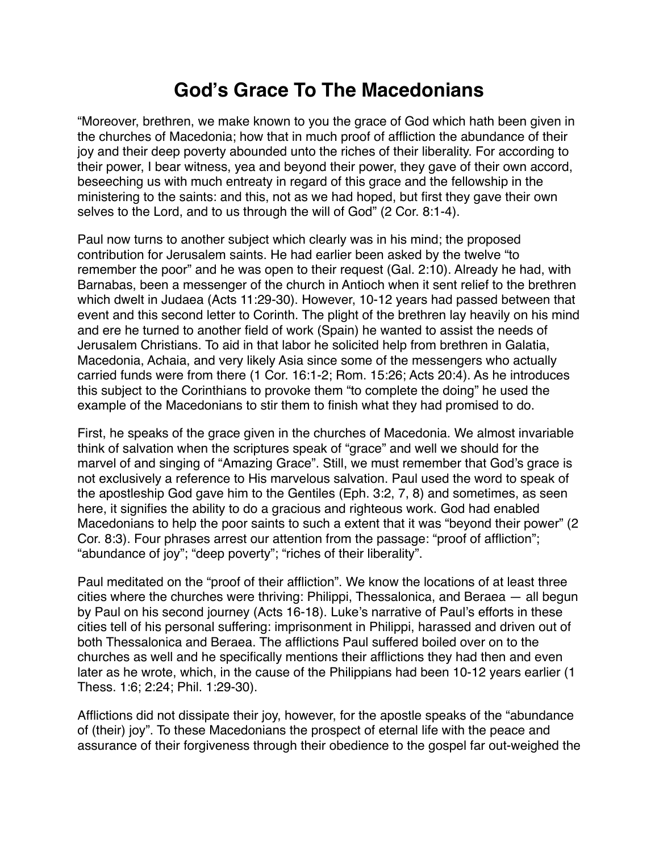## **God's Grace To The Macedonians**

"Moreover, brethren, we make known to you the grace of God which hath been given in the churches of Macedonia; how that in much proof of affliction the abundance of their joy and their deep poverty abounded unto the riches of their liberality. For according to their power, I bear witness, yea and beyond their power, they gave of their own accord, beseeching us with much entreaty in regard of this grace and the fellowship in the ministering to the saints: and this, not as we had hoped, but first they gave their own selves to the Lord, and to us through the will of God" (2 Cor. 8:1-4).

Paul now turns to another subject which clearly was in his mind; the proposed contribution for Jerusalem saints. He had earlier been asked by the twelve "to remember the poor" and he was open to their request (Gal. 2:10). Already he had, with Barnabas, been a messenger of the church in Antioch when it sent relief to the brethren which dwelt in Judaea (Acts 11:29-30). However, 10-12 years had passed between that event and this second letter to Corinth. The plight of the brethren lay heavily on his mind and ere he turned to another field of work (Spain) he wanted to assist the needs of Jerusalem Christians. To aid in that labor he solicited help from brethren in Galatia, Macedonia, Achaia, and very likely Asia since some of the messengers who actually carried funds were from there (1 Cor. 16:1-2; Rom. 15:26; Acts 20:4). As he introduces this subject to the Corinthians to provoke them "to complete the doing" he used the example of the Macedonians to stir them to finish what they had promised to do.

First, he speaks of the grace given in the churches of Macedonia. We almost invariable think of salvation when the scriptures speak of "grace" and well we should for the marvel of and singing of "Amazing Grace". Still, we must remember that God's grace is not exclusively a reference to His marvelous salvation. Paul used the word to speak of the apostleship God gave him to the Gentiles (Eph. 3:2, 7, 8) and sometimes, as seen here, it signifies the ability to do a gracious and righteous work. God had enabled Macedonians to help the poor saints to such a extent that it was "beyond their power" (2 Cor. 8:3). Four phrases arrest our attention from the passage: "proof of affliction"; "abundance of joy"; "deep poverty"; "riches of their liberality".

Paul meditated on the "proof of their affliction". We know the locations of at least three cities where the churches were thriving: Philippi, Thessalonica, and Beraea — all begun by Paul on his second journey (Acts 16-18). Luke's narrative of Paul's efforts in these cities tell of his personal suffering: imprisonment in Philippi, harassed and driven out of both Thessalonica and Beraea. The afflictions Paul suffered boiled over on to the churches as well and he specifically mentions their afflictions they had then and even later as he wrote, which, in the cause of the Philippians had been 10-12 years earlier (1 Thess. 1:6; 2:24; Phil. 1:29-30).

Afflictions did not dissipate their joy, however, for the apostle speaks of the "abundance of (their) joy". To these Macedonians the prospect of eternal life with the peace and assurance of their forgiveness through their obedience to the gospel far out-weighed the